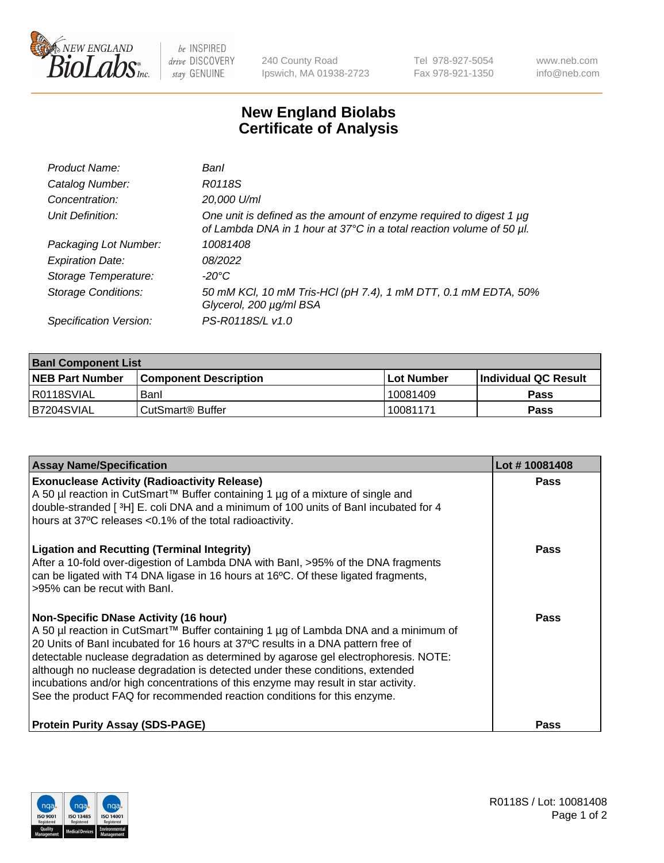

 $be$  INSPIRED drive DISCOVERY stay GENUINE

240 County Road Ipswich, MA 01938-2723 Tel 978-927-5054 Fax 978-921-1350 www.neb.com info@neb.com

## **New England Biolabs Certificate of Analysis**

| Product Name:              | Banl                                                                                                                                        |
|----------------------------|---------------------------------------------------------------------------------------------------------------------------------------------|
| Catalog Number:            | R0118S                                                                                                                                      |
| Concentration:             | 20,000 U/ml                                                                                                                                 |
| Unit Definition:           | One unit is defined as the amount of enzyme required to digest 1 µg<br>of Lambda DNA in 1 hour at 37°C in a total reaction volume of 50 µl. |
| Packaging Lot Number:      | 10081408                                                                                                                                    |
| <b>Expiration Date:</b>    | 08/2022                                                                                                                                     |
| Storage Temperature:       | $-20^{\circ}$ C                                                                                                                             |
| <b>Storage Conditions:</b> | 50 mM KCl, 10 mM Tris-HCl (pH 7.4), 1 mM DTT, 0.1 mM EDTA, 50%<br>Glycerol, 200 µg/ml BSA                                                   |
| Specification Version:     | PS-R0118S/L v1.0                                                                                                                            |

| <b>Banl Component List</b> |                              |              |                             |  |  |
|----------------------------|------------------------------|--------------|-----------------------------|--|--|
| <b>NEB Part Number</b>     | <b>Component Description</b> | l Lot Number | <b>Individual QC Result</b> |  |  |
| R0118SVIAL                 | Banl                         | 10081409     | Pass                        |  |  |
| B7204SVIAL                 | l CutSmart® Buffer           | 10081171     | Pass                        |  |  |

| <b>Assay Name/Specification</b>                                                                                                                                                                                                                                                                                                                                                                                                                                                                                                                                   | Lot #10081408 |
|-------------------------------------------------------------------------------------------------------------------------------------------------------------------------------------------------------------------------------------------------------------------------------------------------------------------------------------------------------------------------------------------------------------------------------------------------------------------------------------------------------------------------------------------------------------------|---------------|
| <b>Exonuclease Activity (Radioactivity Release)</b><br>A 50 µl reaction in CutSmart™ Buffer containing 1 µg of a mixture of single and<br>double-stranded [3H] E. coli DNA and a minimum of 100 units of Banl incubated for 4<br>hours at 37°C releases <0.1% of the total radioactivity.                                                                                                                                                                                                                                                                         | Pass          |
| <b>Ligation and Recutting (Terminal Integrity)</b><br>After a 10-fold over-digestion of Lambda DNA with BanI, >95% of the DNA fragments<br>can be ligated with T4 DNA ligase in 16 hours at 16°C. Of these ligated fragments,<br>>95% can be recut with Banl.                                                                                                                                                                                                                                                                                                     | Pass          |
| <b>Non-Specific DNase Activity (16 hour)</b><br>A 50 µl reaction in CutSmart™ Buffer containing 1 µg of Lambda DNA and a minimum of<br>20 Units of Banl incubated for 16 hours at 37°C results in a DNA pattern free of<br>detectable nuclease degradation as determined by agarose gel electrophoresis. NOTE:<br>although no nuclease degradation is detected under these conditions, extended<br>incubations and/or high concentrations of this enzyme may result in star activity.<br>See the product FAQ for recommended reaction conditions for this enzyme. | Pass          |
| <b>Protein Purity Assay (SDS-PAGE)</b>                                                                                                                                                                                                                                                                                                                                                                                                                                                                                                                            | Pass          |